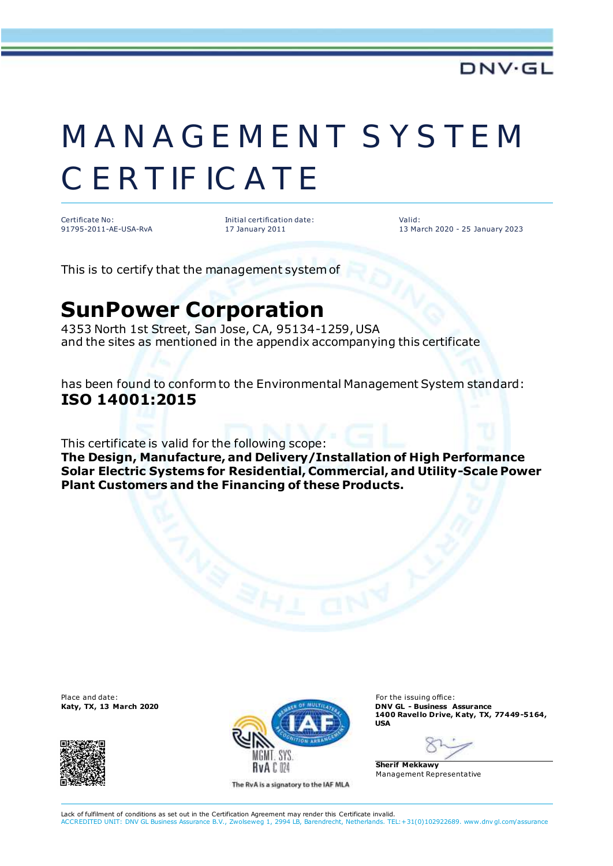## MANAGEMENT SYSTEM **CERTIFICATE**

Certificate No: 91795-2011-AE-USA-RvA Initial certification date: 17 January 2011

 Valid: 13 March 2020 - 25 January 2023

This is to certify that the management system of

## **SunPower Corporation**

4353 North 1st Street, San Jose, CA, 95134-1259, USA and the sites as mentioned in the appendix accompanying this certificate

has been found to conform to the Environmental Management System standard: **ISO 14001:2015**

This certificate is valid for the following scope:

**The Design, Manufacture, and Delivery/Installation of High Performance Solar Electric Systems for Residential, Commercial, and Utility-Scale Power Plant Customers and the Financing of these Products.**





The RvA is a signatory to the IAF MLA

**1400 Ravel lo Drive, Katy, TX, 77449-5164, USA**

**Sherif Mekkawy** Management Representative

Lack of fulfilment of conditions as set out in the Certification Agreement may render this Certificate invalid. ACCREDITED UNIT: DNV GL Business Assurance B.V., Zwolseweg 1, 2994 LB, Barendrecht, Netherlands. TEL:+31(0)102922689. www.dnv gl.com/assurance